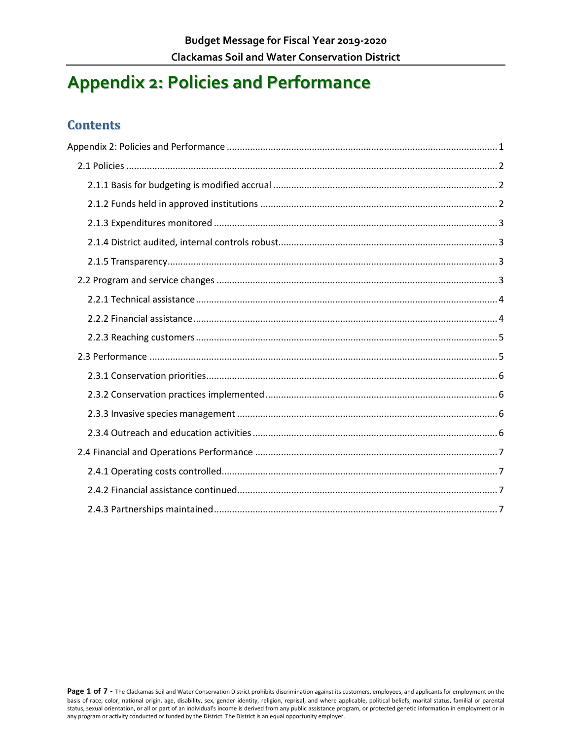# <span id="page-0-0"></span>**Appendix 2: Policies and Performance**

### **Contents**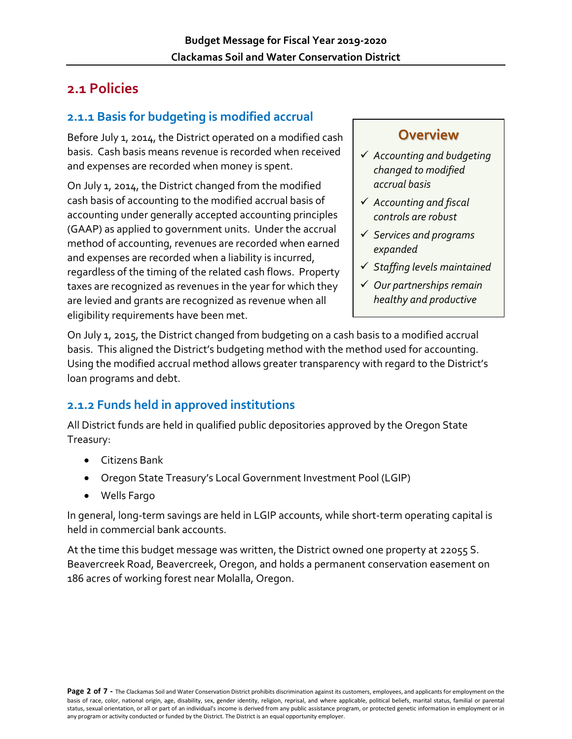# <span id="page-1-0"></span>**2.1 Policies**

## <span id="page-1-1"></span>**2.1.1 Basis for budgeting is modified accrual**

Before July 1, 2014, the District operated on a modified cash basis. Cash basis means revenue is recorded when received and expenses are recorded when money is spent.

On July 1, 2014, the District changed from the modified cash basis of accounting to the modified accrual basis of accounting under generally accepted accounting principles (GAAP) as applied to government units. Under the accrual method of accounting, revenues are recorded when earned and expenses are recorded when a liability is incurred, regardless of the timing of the related cash flows. Property taxes are recognized as revenues in the year for which they are levied and grants are recognized as revenue when all eligibility requirements have been met.

# **Overview**

- *Accounting and budgeting changed to modified accrual basis*
- *Accounting and fiscal controls are robust*
- *Services and programs expanded*
- *Staffing levels maintained*
- *Our partnerships remain healthy and productive*

On July 1, 2015, the District changed from budgeting on a cash basis to a modified accrual basis. This aligned the District's budgeting method with the method used for accounting. Using the modified accrual method allows greater transparency with regard to the District's loan programs and debt.

## <span id="page-1-2"></span>**2.1.2 Funds held in approved institutions**

All District funds are held in qualified public depositories approved by the Oregon State Treasury:

- Citizens Bank
- Oregon State Treasury's Local Government Investment Pool (LGIP)
- Wells Fargo

In general, long-term savings are held in LGIP accounts, while short-term operating capital is held in commercial bank accounts.

At the time this budget message was written, the District owned one property at 22055 S. Beavercreek Road, Beavercreek, Oregon, and holds a permanent conservation easement on 186 acres of working forest near Molalla, Oregon.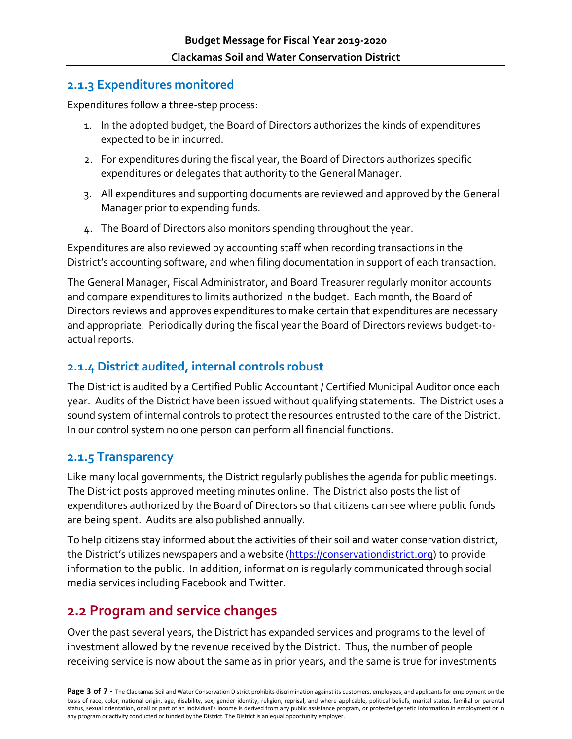#### <span id="page-2-0"></span>**2.1.3 Expenditures monitored**

Expenditures follow a three-step process:

- 1. In the adopted budget, the Board of Directors authorizes the kinds of expenditures expected to be in incurred.
- 2. For expenditures during the fiscal year, the Board of Directors authorizes specific expenditures or delegates that authority to the General Manager.
- 3. All expenditures and supporting documents are reviewed and approved by the General Manager prior to expending funds.
- 4. The Board of Directors also monitors spending throughout the year.

Expenditures are also reviewed by accounting staff when recording transactions in the District's accounting software, and when filing documentation in support of each transaction.

The General Manager, Fiscal Administrator, and Board Treasurer regularly monitor accounts and compare expenditures to limits authorized in the budget. Each month, the Board of Directors reviews and approves expenditures to make certain that expenditures are necessary and appropriate. Periodically during the fiscal year the Board of Directors reviews budget-toactual reports.

#### <span id="page-2-1"></span>**2.1.4 District audited, internal controls robust**

The District is audited by a Certified Public Accountant / Certified Municipal Auditor once each year. Audits of the District have been issued without qualifying statements. The District uses a sound system of internal controls to protect the resources entrusted to the care of the District. In our control system no one person can perform all financial functions.

#### <span id="page-2-2"></span>**2.1.5 Transparency**

Like many local governments, the District regularly publishes the agenda for public meetings. The District posts approved meeting minutes online. The District also posts the list of expenditures authorized by the Board of Directors so that citizens can see where public funds are being spent. Audits are also published annually.

To help citizens stay informed about the activities of their soil and water conservation district, the District's utilizes newspapers and a website [\(https://conservationdistrict.org\)](https://conservationdistrict.org/) to provide information to the public. In addition, information is regularly communicated through social media services including Facebook and Twitter.

# <span id="page-2-3"></span>**2.2 Program and service changes**

Over the past several years, the District has expanded services and programs to the level of investment allowed by the revenue received by the District. Thus, the number of people receiving service is now about the same as in prior years, and the same is true for investments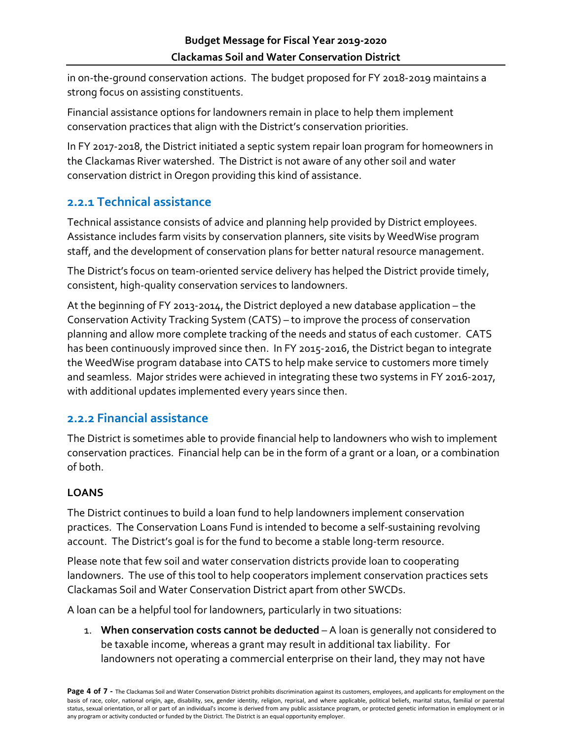in on-the-ground conservation actions. The budget proposed for FY 2018-2019 maintains a strong focus on assisting constituents.

Financial assistance options for landowners remain in place to help them implement conservation practices that align with the District's conservation priorities.

In FY 2017-2018, the District initiated a septic system repair loan program for homeowners in the Clackamas River watershed. The District is not aware of any other soil and water conservation district in Oregon providing this kind of assistance.

## <span id="page-3-0"></span>**2.2.1 Technical assistance**

Technical assistance consists of advice and planning help provided by District employees. Assistance includes farm visits by conservation planners, site visits by WeedWise program staff, and the development of conservation plans for better natural resource management.

The District's focus on team-oriented service delivery has helped the District provide timely, consistent, high-quality conservation services to landowners.

At the beginning of FY 2013-2014, the District deployed a new database application – the Conservation Activity Tracking System (CATS) – to improve the process of conservation planning and allow more complete tracking of the needs and status of each customer. CATS has been continuously improved since then. In FY 2015-2016, the District began to integrate the WeedWise program database into CATS to help make service to customers more timely and seamless. Major strides were achieved in integrating these two systems in FY 2016-2017, with additional updates implemented every years since then.

#### <span id="page-3-1"></span>**2.2.2 Financial assistance**

The District is sometimes able to provide financial help to landowners who wish to implement conservation practices. Financial help can be in the form of a grant or a loan, or a combination of both.

#### **LOANS**

The District continues to build a loan fund to help landowners implement conservation practices. The Conservation Loans Fund is intended to become a self-sustaining revolving account. The District's goal is for the fund to become a stable long-term resource.

Please note that few soil and water conservation districts provide loan to cooperating landowners. The use of this tool to help cooperators implement conservation practices sets Clackamas Soil and Water Conservation District apart from other SWCDs.

A loan can be a helpful tool for landowners, particularly in two situations:

1. **When conservation costs cannot be deducted** – A loan is generally not considered to be taxable income, whereas a grant may result in additional tax liability. For landowners not operating a commercial enterprise on their land, they may not have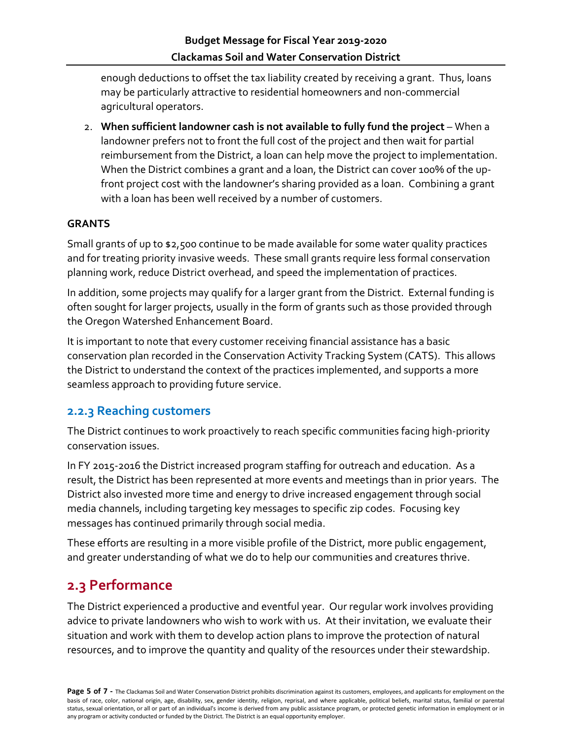enough deductions to offset the tax liability created by receiving a grant. Thus, loans may be particularly attractive to residential homeowners and non-commercial agricultural operators.

2. **When sufficient landowner cash is not available to fully fund the project** – When a landowner prefers not to front the full cost of the project and then wait for partial reimbursement from the District, a loan can help move the project to implementation. When the District combines a grant and a loan, the District can cover 100% of the upfront project cost with the landowner's sharing provided as a loan. Combining a grant with a loan has been well received by a number of customers.

#### **GRANTS**

Small grants of up to \$2,500 continue to be made available for some water quality practices and for treating priority invasive weeds. These small grants require less formal conservation planning work, reduce District overhead, and speed the implementation of practices.

In addition, some projects may qualify for a larger grant from the District. External funding is often sought for larger projects, usually in the form of grants such as those provided through the Oregon Watershed Enhancement Board.

It is important to note that every customer receiving financial assistance has a basic conservation plan recorded in the Conservation Activity Tracking System (CATS). This allows the District to understand the context of the practices implemented, and supports a more seamless approach to providing future service.

#### <span id="page-4-0"></span>**2.2.3 Reaching customers**

The District continues to work proactively to reach specific communities facing high-priority conservation issues.

In FY 2015-2016 the District increased program staffing for outreach and education. As a result, the District has been represented at more events and meetings than in prior years. The District also invested more time and energy to drive increased engagement through social media channels, including targeting key messages to specific zip codes. Focusing key messages has continued primarily through social media.

These efforts are resulting in a more visible profile of the District, more public engagement, and greater understanding of what we do to help our communities and creatures thrive.

# <span id="page-4-1"></span>**2.3 Performance**

The District experienced a productive and eventful year. Our regular work involves providing advice to private landowners who wish to work with us. At their invitation, we evaluate their situation and work with them to develop action plans to improve the protection of natural resources, and to improve the quantity and quality of the resources under their stewardship.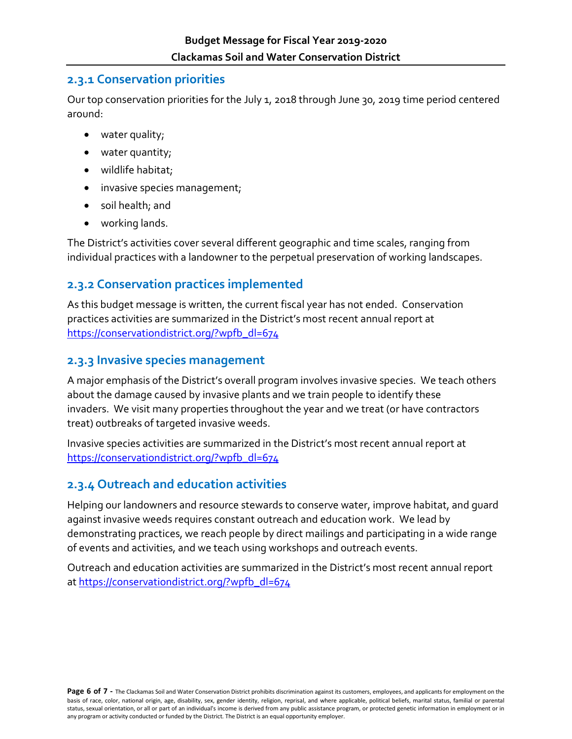#### <span id="page-5-0"></span>**2.3.1 Conservation priorities**

Our top conservation priorities for the July 1, 2018 through June 30, 2019 time period centered around:

- water quality;
- water quantity;
- wildlife habitat;
- invasive species management;
- soil health; and
- working lands.

The District's activities cover several different geographic and time scales, ranging from individual practices with a landowner to the perpetual preservation of working landscapes.

# <span id="page-5-1"></span>**2.3.2 Conservation practices implemented**

As this budget message is written, the current fiscal year has not ended. Conservation practices activities are summarized in the District's most recent annual report at [https://conservationdistrict.org/?wpfb\\_dl=674](https://conservationdistrict.org/?wpfb_dl=674)

## <span id="page-5-2"></span>**2.3.3 Invasive species management**

A major emphasis of the District's overall program involves invasive species. We teach others about the damage caused by invasive plants and we train people to identify these invaders. We visit many properties throughout the year and we treat (or have contractors treat) outbreaks of targeted invasive weeds.

Invasive species activities are summarized in the District's most recent annual report at [https://conservationdistrict.org/?wpfb\\_dl=674](https://conservationdistrict.org/?wpfb_dl=674)

# <span id="page-5-3"></span>**2.3.4 Outreach and education activities**

Helping our landowners and resource stewards to conserve water, improve habitat, and guard against invasive weeds requires constant outreach and education work. We lead by demonstrating practices, we reach people by direct mailings and participating in a wide range of events and activities, and we teach using workshops and outreach events.

Outreach and education activities are summarized in the District's most recent annual report at [https://conservationdistrict.org/?wpfb\\_dl=674](https://conservationdistrict.org/?wpfb_dl=674)